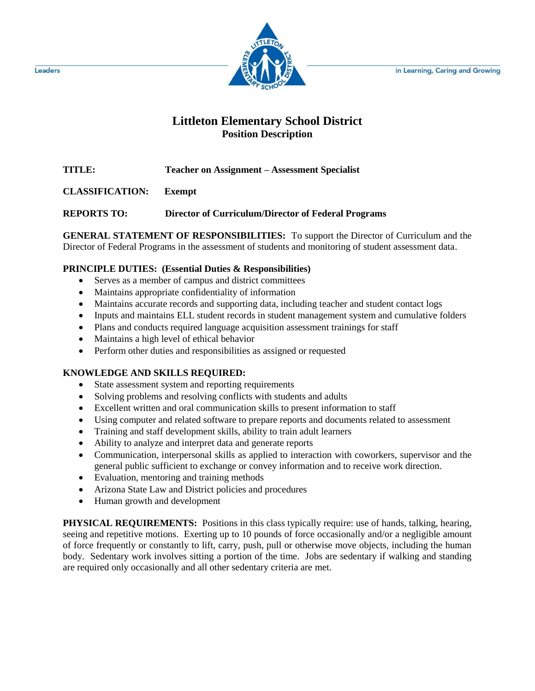in Learning, Caring and Growing



# **Littleton Elementary School District Position Description**

**TITLE: Teacher on Assignment – Assessment Specialist**

**CLASSIFICATION: Exempt**

**REPORTS TO: Director of Curriculum/Director of Federal Programs**

**GENERAL STATEMENT OF RESPONSIBILITIES:** To support the Director of Curriculum and the Director of Federal Programs in the assessment of students and monitoring of student assessment data.

## **PRINCIPLE DUTIES: (Essential Duties & Responsibilities)**

- Serves as a member of campus and district committees
- Maintains appropriate confidentiality of information
- Maintains accurate records and supporting data, including teacher and student contact logs
- Inputs and maintains ELL student records in student management system and cumulative folders
- Plans and conducts required language acquisition assessment trainings for staff
- Maintains a high level of ethical behavior
- Perform other duties and responsibilities as assigned or requested

## **KNOWLEDGE AND SKILLS REQUIRED:**

- State assessment system and reporting requirements
- Solving problems and resolving conflicts with students and adults
- Excellent written and oral communication skills to present information to staff
- Using computer and related software to prepare reports and documents related to assessment
- Training and staff development skills, ability to train adult learners
- Ability to analyze and interpret data and generate reports
- Communication, interpersonal skills as applied to interaction with coworkers, supervisor and the general public sufficient to exchange or convey information and to receive work direction.
- Evaluation, mentoring and training methods
- Arizona State Law and District policies and procedures
- Human growth and development

**PHYSICAL REQUIREMENTS:** Positions in this class typically require: use of hands, talking, hearing, seeing and repetitive motions. Exerting up to 10 pounds of force occasionally and/or a negligible amount of force frequently or constantly to lift, carry, push, pull or otherwise move objects, including the human body. Sedentary work involves sitting a portion of the time. Jobs are sedentary if walking and standing are required only occasionally and all other sedentary criteria are met.